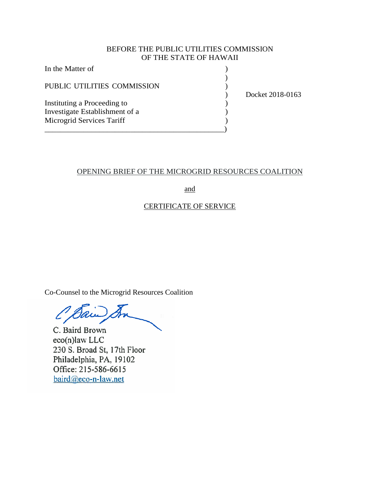### BEFORE THE PUBLIC UTILITIES COMMISSION OF THE STATE OF HAWAII

| In the Matter of               |                  |
|--------------------------------|------------------|
| PUBLIC UTILITIES COMMISSION    | Docket 2018-0163 |
| Instituting a Proceeding to    |                  |
| Investigate Establishment of a |                  |
| Microgrid Services Tariff      |                  |
|                                |                  |

# OPENING BRIEF OF THE MICROGRID RESOURCES COALITION

and

# CERTIFICATE OF SERVICE

Co-Counsel to the Microgrid Resources Coalition

O Bain

C. Baird Brown eco(n)law LLC 230 S. Broad St, 17th Floor Philadelphia, PA, 19102 Office: 215-586-6615 baird@eco-n-law.net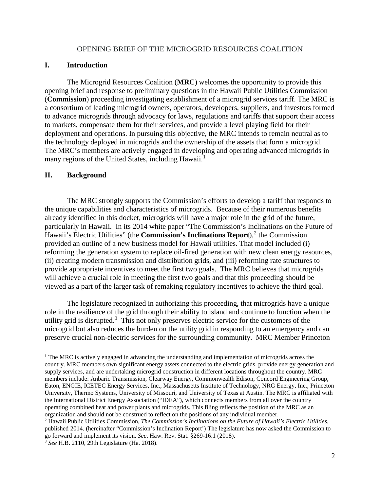#### OPENING BRIEF OF THE MICROGRID RESOURCES COALITION

### **I. Introduction**

The Microgrid Resources Coalition (**MRC**) welcomes the opportunity to provide this opening brief and response to preliminary questions in the Hawaii Public Utilities Commission (**Commission**) proceeding investigating establishment of a microgrid services tariff. The MRC is a consortium of leading microgrid owners, operators, developers, suppliers, and investors formed to advance microgrids through advocacy for laws, regulations and tariffs that support their access to markets, compensate them for their services, and provide a level playing field for their deployment and operations. In pursuing this objective, the MRC intends to remain neutral as to the technology deployed in microgrids and the ownership of the assets that form a microgrid. The MRC's members are actively engaged in developing and operating advanced microgrids in many regions of the United States, including Hawaii.<sup>[1](#page-1-0)</sup>

#### **II. Background**

The MRC strongly supports the Commission's efforts to develop a tariff that responds to the unique capabilities and characteristics of microgrids. Because of their numerous benefits already identified in this docket, microgrids will have a major role in the grid of the future, particularly in Hawaii. In its 2014 white paper "The Commission's Inclinations on the Future of Hawaii's Electric Utilities" (the **Commission's Inclinations Report**),<sup>[2](#page-1-1)</sup> the Commission provided an outline of a new business model for Hawaii utilities. That model included (i) reforming the generation system to replace oil-fired generation with new clean energy resources, (ii) creating modern transmission and distribution grids, and (iii) reforming rate structures to provide appropriate incentives to meet the first two goals. The MRC believes that microgrids will achieve a crucial role in meeting the first two goals and that this proceeding should be viewed as a part of the larger task of remaking regulatory incentives to achieve the third goal.

The legislature recognized in authorizing this proceeding, that microgrids have a unique role in the resilience of the grid through their ability to island and continue to function when the utility grid is disrupted.<sup>[3](#page-1-2)</sup> This not only preserves electric service for the customers of the microgrid but also reduces the burden on the utility grid in responding to an emergency and can preserve crucial non-electric services for the surrounding community. MRC Member Princeton

<span id="page-1-0"></span><sup>&</sup>lt;sup>1</sup> The MRC is actively engaged in advancing the understanding and implementation of microgrids across the country. MRC members own significant energy assets connected to the electric grids, provide energy generation and supply services, and are undertaking microgrid construction in different locations throughout the country. MRC members include: Anbaric Transmission, Clearway Energy, Commonwealth Edison, Concord Engineering Group, Eaton, ENGIE, ICETEC Energy Services, Inc., Massachusetts Institute of Technology, NRG Energy, Inc., Princeton University, Thermo Systems, University of Missouri, and University of Texas at Austin. The MRC is affiliated with the International District Energy Association ("IDEA"), which connects members from all over the country operating combined heat and power plants and microgrids. This filing reflects the position of the MRC as an organization and should not be construed to reflect on the positions of any individual member.

<span id="page-1-1"></span><sup>2</sup> Hawaii Public Utilities Commission, *The Commission's Inclinations on the Future of Hawaii's Electric Utilities*, published 2014. (hereinafter "Commission's Inclination Report') The legislature has now asked the Commission to go forward and implement its vision. *See*, Haw. Rev. Stat. §269-16.1 (2018).

<span id="page-1-2"></span><sup>3</sup> *See* H.B. 2110, 29th Legislature (Ha. 2018).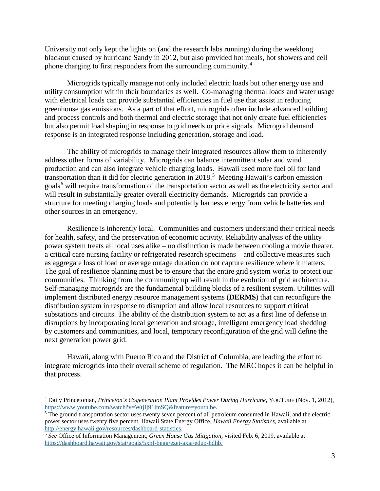University not only kept the lights on (and the research labs running) during the weeklong blackout caused by hurricane Sandy in 2012, but also provided hot meals, hot showers and cell phone charging to first responders from the surrounding community.[4](#page-2-0)

Microgrids typically manage not only included electric loads but other energy use and utility consumption within their boundaries as well. Co-managing thermal loads and water usage with electrical loads can provide substantial efficiencies in fuel use that assist in reducing greenhouse gas emissions. As a part of that effort, microgrids often include advanced building and process controls and both thermal and electric storage that not only create fuel efficiencies but also permit load shaping in response to grid needs or price signals. Microgrid demand response is an integrated response including generation, storage and load.

The ability of microgrids to manage their integrated resources allow them to inherently address other forms of variability. Microgrids can balance intermittent solar and wind production and can also integrate vehicle charging loads. Hawaii used more fuel oil for land transportation than it did for electric generation in 2018. [5](#page-2-1) Meeting Hawaii's carbon emission goals<sup>[6](#page-2-2)</sup> will require transformation of the transportation sector as well as the electricity sector and will result in substantially greater overall electricity demands. Microgrids can provide a structure for meeting charging loads and potentially harness energy from vehicle batteries and other sources in an emergency.

Resilience is inherently local. Communities and customers understand their critical needs for health, safety, and the preservation of economic activity. Reliability analysis of the utility power system treats all local uses alike – no distinction is made between cooling a movie theater, a critical care nursing facility or refrigerated research specimens – and collective measures such as aggregate loss of load or average outage duration do not capture resilience where it matters. The goal of resilience planning must be to ensure that the entire grid system works to protect our communities. Thinking from the community up will result in the evolution of grid architecture. Self-managing microgrids are the fundamental building blocks of a resilient system. Utilities will implement distributed energy resource management systems (**DERMS**) that can reconfigure the distribution system in response to disruption and allow local resources to support critical substations and circuits. The ability of the distribution system to act as a first line of defense in disruptions by incorporating local generation and storage, intelligent emergency load shedding by customers and communities, and local, temporary reconfiguration of the grid will define the next generation power grid.

Hawaii, along with Puerto Rico and the District of Columbia, are leading the effort to integrate microgrids into their overall scheme of regulation. The MRC hopes it can be helpful in that process.

<span id="page-2-0"></span> <sup>4</sup> Daily Princetonian, *Princeton's Cogeneration Plant Provides Power During Hurricane*, YOUTUBE (Nov. 1, 2012),

<span id="page-2-1"></span> $5$  The ground transportation sector uses twenty seven percent of all petroleum consumed in Hawaii, and the electric power sector uses twenty five percent. Hawaii State Energy Office, *Hawaii Energy Statistics*, available at http://energy.hawaii.gov/resources/dashboard-statistics. 6 *See* Office of Information Management, *Green House Gas Mitigation,* visited Feb. 6, 2019, available at

<span id="page-2-2"></span>[https://dashboard.hawaii.gov/stat/goals/5xhf-begg/ezet-axai/edup-hdhb.](https://dashboard.hawaii.gov/stat/goals/5xhf-begg/ezet-axai/edup-hdhb)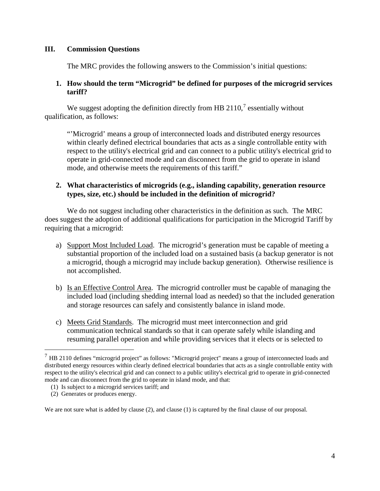## **III. Commission Questions**

The MRC provides the following answers to the Commission's initial questions:

## **1. How should the term "Microgrid" be defined for purposes of the microgrid services tariff?**

We suggest adopting the definition directly from HB 2110, $\frac{7}{1}$  $\frac{7}{1}$  $\frac{7}{1}$  essentially without qualification, as follows:

"'Microgrid' means a group of interconnected loads and distributed energy resources within clearly defined electrical boundaries that acts as a single controllable entity with respect to the utility's electrical grid and can connect to a public utility's electrical grid to operate in grid-connected mode and can disconnect from the grid to operate in island mode, and otherwise meets the requirements of this tariff."

## **2. What characteristics of microgrids (e.g., islanding capability, generation resource types, size, etc.) should be included in the definition of microgrid?**

We do not suggest including other characteristics in the definition as such. The MRC does suggest the adoption of additional qualifications for participation in the Microgrid Tariff by requiring that a microgrid:

- a) Support Most Included Load. The microgrid's generation must be capable of meeting a substantial proportion of the included load on a sustained basis (a backup generator is not a microgrid, though a microgrid may include backup generation). Otherwise resilience is not accomplished.
- b) Is an Effective Control Area. The microgrid controller must be capable of managing the included load (including shedding internal load as needed) so that the included generation and storage resources can safely and consistently balance in island mode.
- c) Meets Grid Standards. The microgrid must meet interconnection and grid communication technical standards so that it can operate safely while islanding and resuming parallel operation and while providing services that it elects or is selected to

(1) Is subject to a microgrid services tariff; and

We are not sure what is added by clause (2), and clause (1) is captured by the final clause of our proposal.

<span id="page-3-0"></span> <sup>7</sup> HB 2110 defines "microgrid project" as follows: "Microgrid project" means a group of interconnected loads and distributed energy resources within clearly defined electrical boundaries that acts as a single controllable entity with respect to the utility's electrical grid and can connect to a public utility's electrical grid to operate in grid-connected mode and can disconnect from the grid to operate in island mode, and that:

 <sup>(2)</sup> Generates or produces energy.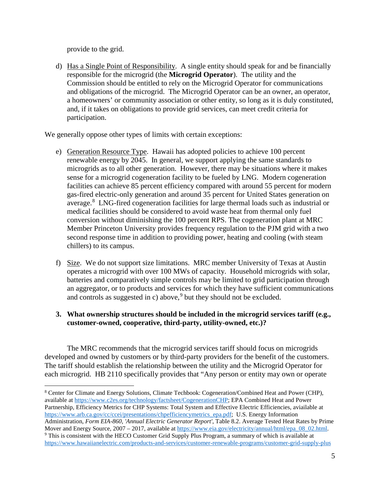provide to the grid.

d) Has a Single Point of Responsibility. A single entity should speak for and be financially responsible for the microgrid (the **Microgrid Operator**). The utility and the Commission should be entitled to rely on the Microgrid Operator for communications and obligations of the microgrid. The Microgrid Operator can be an owner, an operator, a homeowners' or community association or other entity, so long as it is duly constituted, and, if it takes on obligations to provide grid services, can meet credit criteria for participation.

We generally oppose other types of limits with certain exceptions:

- e) Generation Resource Type. Hawaii has adopted policies to achieve 100 percent renewable energy by 2045. In general, we support applying the same standards to microgrids as to all other generation. However, there may be situations where it makes sense for a microgrid cogeneration facility to be fueled by LNG. Modern cogeneration facilities can achieve 85 percent efficiency compared with around 55 percent for modern gas-fired electric-only generation and around 35 percent for United States generation on average.<sup>[8](#page-4-0)</sup> LNG-fired cogeneration facilities for large thermal loads such as industrial or medical facilities should be considered to avoid waste heat from thermal only fuel conversion without diminishing the 100 percent RPS. The cogeneration plant at MRC Member Princeton University provides frequency regulation to the PJM grid with a two second response time in addition to providing power, heating and cooling (with steam chillers) to its campus.
- f) Size. We do not support size limitations. MRC member University of Texas at Austin operates a microgrid with over 100 MWs of capacity. Household microgrids with solar, batteries and comparatively simple controls may be limited to grid participation through an aggregator, or to products and services for which they have sufficient communications and controls as suggested in c) above,<sup>[9](#page-4-1)</sup> but they should not be excluded.

# **3. What ownership structures should be included in the microgrid services tariff (e.g., customer-owned, cooperative, third-party, utility-owned, etc.)?**

The MRC recommends that the microgrid services tariff should focus on microgrids developed and owned by customers or by third-party providers for the benefit of the customers. The tariff should establish the relationship between the utility and the Microgrid Operator for each microgrid. HB 2110 specifically provides that "Any person or entity may own or operate

<span id="page-4-1"></span><span id="page-4-0"></span> <sup>8</sup> Center for Climate and Energy Solutions, Climate Techbook: Cogeneration/Combined Heat and Power (CHP), available at [https://www.c2es.org/technology/factsheet/CogenerationCHP;](https://www.c2es.org/technology/factsheet/CogenerationCHP) EPA Combined Heat and Power Partnership, Efficiency Metrics for CHP Systems: Total System and Effective Electric Efficiencies, aviailable at [https://www.arb.ca.gov/cc/ccei/presentations/chpefficiencymetrics\\_epa.pdf;](https://www.arb.ca.gov/cc/ccei/presentations/chpefficiencymetrics_epa.pdf) U.S. Energy Information Administration, *Form EIA-860, 'Annual Electric Generator Report'*, Table 8.2. Average Tested Heat Rates by Prime Mover and Energy Source, 2007 – 2017, available at  $\frac{https://www.eia.gov/electricity/annual/html/epa_08_02.html}{https://www.eia.gov/electricity/annual/html/epa_08_02.html}$ . <https://www.hawaiianelectric.com/products-and-services/customer-renewable-programs/customer-grid-supply-plus>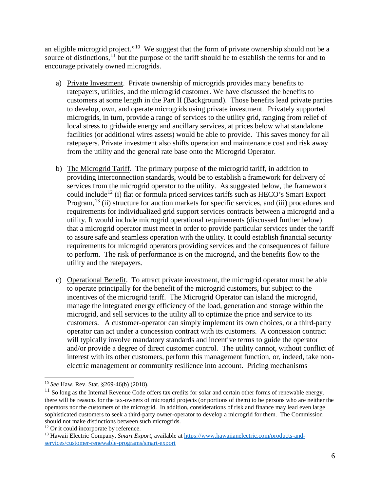an eligible microgrid project."[10](#page-5-0) We suggest that the form of private ownership should not be a source of distinctions,<sup>[11](#page-5-1)</sup> but the purpose of the tariff should be to establish the terms for and to encourage privately owned microgrids.

- a) Private Investment. Private ownership of microgrids provides many benefits to ratepayers, utilities, and the microgrid customer. We have discussed the benefits to customers at some length in the Part II (Background). Those benefits lead private parties to develop, own, and operate microgrids using private investment. Privately supported microgrids, in turn, provide a range of services to the utility grid, ranging from relief of local stress to gridwide energy and ancillary services, at prices below what standalone facilities (or additional wires assets) would be able to provide. This saves money for all ratepayers. Private investment also shifts operation and maintenance cost and risk away from the utility and the general rate base onto the Microgrid Operator.
- b) The Microgrid Tariff. The primary purpose of the microgrid tariff, in addition to providing interconnection standards, would be to establish a framework for delivery of services from the microgrid operator to the utility. As suggested below, the framework could include<sup>[12](#page-5-2)</sup> (i) flat or formula priced services tariffs such as HECO's Smart Export Program,<sup>[13](#page-5-3)</sup> (ii) structure for auction markets for specific services, and (iii) procedures and requirements for individualized grid support services contracts between a microgrid and a utility. It would include microgrid operational requirements (discussed further below) that a microgrid operator must meet in order to provide particular services under the tariff to assure safe and seamless operation with the utility. It could establish financial security requirements for microgrid operators providing services and the consequences of failure to perform. The risk of performance is on the microgrid, and the benefits flow to the utility and the ratepayers.
- c) Operational Benefit. To attract private investment, the microgrid operator must be able to operate principally for the benefit of the microgrid customers, but subject to the incentives of the microgrid tariff. The Microgrid Operator can island the microgrid, manage the integrated energy efficiency of the load, generation and storage within the microgrid, and sell services to the utility all to optimize the price and service to its customers. A customer-operator can simply implement its own choices, or a third-party operator can act under a concession contract with its customers. A concession contract will typically involve mandatory standards and incentive terms to guide the operator and/or provide a degree of direct customer control. The utility cannot, without conflict of interest with its other customers, perform this management function, or, indeed, take nonelectric management or community resilience into account. Pricing mechanisms

<span id="page-5-0"></span> <sup>10</sup> *See* Haw. Rev. Stat. §269-46(b) (2018).

<span id="page-5-1"></span> $11$  So long as the Internal Revenue Code offers tax credits for solar and certain other forms of renewable energy, there will be reasons for the tax-owners of microgrid projects (or portions of them) to be persons who are neither the operators nor the customers of the microgrid. In addition, considerations of risk and finance may lead even large sophisticated customers to seek a third-party owner-operator to develop a microgrid for them. The Commission should not make distinctions between such microgrids.

<span id="page-5-2"></span><sup>&</sup>lt;sup>12</sup> Or it could incorporate by reference.

<span id="page-5-3"></span><sup>13</sup> Hawaii Electric Company, *Smart Export*, available at [https://www.hawaiianelectric.com/products-and](https://www.hawaiianelectric.com/products-and-services/customer-renewable-programs/smart-export)[services/customer-renewable-programs/smart-export](https://www.hawaiianelectric.com/products-and-services/customer-renewable-programs/smart-export)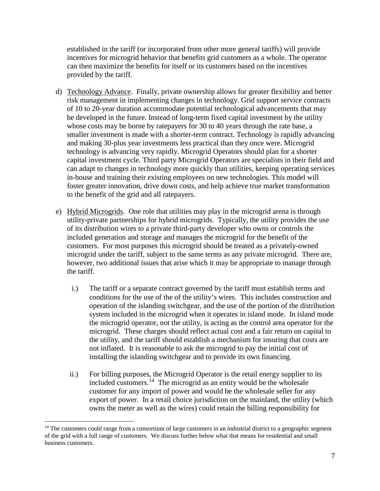established in the tariff (or incorporated from other more general tariffs) will provide incentives for microgrid behavior that benefits grid customers as a whole. The operator can then maximize the benefits for itself or its customers based on the incentives provided by the tariff.

- d) Technology Advance. Finally, private ownership allows for greater flexibility and better risk management in implementing changes in technology. Grid support service contracts of 10 to 20-year duration accommodate potential technological advancements that may be developed in the future. Instead of long-term fixed capital investment by the utility whose costs may be borne by ratepayers for 30 to 40 years through the rate base, a smaller investment is made with a shorter-term contract. Technology is rapidly advancing and making 30-plus year investments less practical than they once were. Microgrid technology is advancing very rapidly. Microgrid Operators should plan for a shorter capital investment cycle. Third party Microgrid Operators are specialists in their field and can adapt to changes in technology more quickly than utilities, keeping operating services in-house and training their existing employees on new technologies. This model will foster greater innovation, drive down costs, and help achieve true market transformation to the benefit of the grid and all ratepayers.
- e) Hybrid Microgrids. One role that utilities may play in the microgrid arena is through utility-private partnerships for hybrid microgrids. Typically, the utility provides the use of its distribution wires to a private third-party developer who owns or controls the included generation and storage and manages the microgrid for the benefit of the customers. For most purposes this microgrid should be treated as a privately-owned microgrid under the tariff, subject to the same terms as any private microgrid. There are, however, two additional issues that arise which it may be appropriate to manage through the tariff.
	- i.) The tariff or a separate contract governed by the tariff must establish terms and conditions for the use of the of the utility's wires. This includes construction and operation of the islanding switchgear, and the use of the portion of the distribution system included in the microgrid when it operates in island mode. In island mode the microgrid operator, not the utility, is acting as the control area operator for the microgrid. These charges should reflect actual cost and a fair return on capital to the utility, and the tariff should establish a mechanism for insuring that costs are not inflated. It is reasonable to ask the microgrid to pay the initial cost of installing the islanding switchgear and to provide its own financing.
	- ii.) For billing purposes, the Microgrid Operator is the retail energy supplier to its included customers.<sup>14</sup> The microgrid as an entity would be the wholesale customer for any import of power and would be the wholesale seller for any export of power. In a retail choice jurisdiction on the mainland, the utility (which owns the meter as well as the wires) could retain the billing responsibility for

<span id="page-6-0"></span> $14$  The customers could range from a consortium of large customers in an industrial district to a geographic segment of the grid with a full range of customers. We discuss further below what that means for residential and small business customers.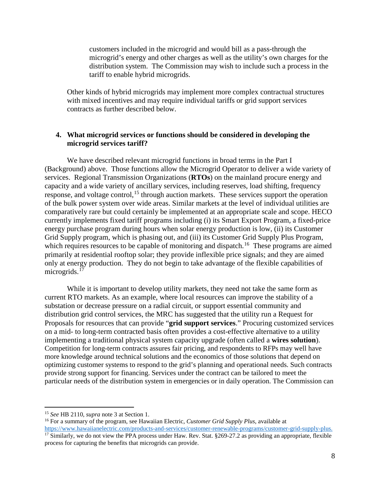customers included in the microgrid and would bill as a pass-through the microgrid's energy and other charges as well as the utility's own charges for the distribution system. The Commission may wish to include such a process in the tariff to enable hybrid microgrids.

Other kinds of hybrid microgrids may implement more complex contractual structures with mixed incentives and may require individual tariffs or grid support services contracts as further described below.

### **4. What microgrid services or functions should be considered in developing the microgrid services tariff?**

We have described relevant microgrid functions in broad terms in the Part I (Background) above. Those functions allow the Microgrid Operator to deliver a wide variety of services. Regional Transmission Organizations (**RTOs**) on the mainland procure energy and capacity and a wide variety of ancillary services, including reserves, load shifting, frequency response, and voltage control,<sup>[15](#page-7-0)</sup> through auction markets. These services support the operation of the bulk power system over wide areas. Similar markets at the level of individual utilities are comparatively rare but could certainly be implemented at an appropriate scale and scope. HECO currently implements fixed tariff programs including (i) its Smart Export Program, a fixed-price energy purchase program during hours when solar energy production is low, (ii) its Customer Grid Supply program, which is phasing out, and (iii) its Customer Grid Supply Plus Program, which requires resources to be capable of monitoring and dispatch.<sup>[16](#page-7-1)</sup> These programs are aimed primarily at residential rooftop solar; they provide inflexible price signals; and they are aimed only at energy production. They do not begin to take advantage of the flexible capabilities of microgrids.<sup>[17](#page-7-2)</sup>

While it is important to develop utility markets, they need not take the same form as current RTO markets. As an example, where local resources can improve the stability of a substation or decrease pressure on a radial circuit, or support essential community and distribution grid control services, the MRC has suggested that the utility run a Request for Proposals for resources that can provide "**grid support services**." Procuring customized services on a mid- to long-term contracted basis often provides a cost-effective alternative to a utility implementing a traditional physical system capacity upgrade (often called a **wires solution**). Competition for long-term contracts assures fair pricing, and respondents to RFPs may well have more knowledge around technical solutions and the economics of those solutions that depend on optimizing customer systems to respond to the grid's planning and operational needs. Such contracts provide strong support for financing. Services under the contract can be tailored to meet the particular needs of the distribution system in emergencies or in daily operation. The Commission can

<sup>16</sup> For a summary of the program, see Hawaiian Electric, *Customer Grid Supply Plus*, available at

<span id="page-7-0"></span> <sup>15</sup> *See* HB 2110, *supra* note 3 at Section 1.

<span id="page-7-2"></span><span id="page-7-1"></span>[https://www.hawaiianelectric.com/products-and-services/customer-renewable-programs/customer-grid-supply-plus.](https://www.hawaiianelectric.com/products-and-services/customer-renewable-programs/customer-grid-supply-plus) <sup>17</sup> Similarly, we do not view the PPA process under Haw. Rev. Stat. §269-27.2 as providing an appropriate, flexible process for capturing the benefits that microgrids can provide.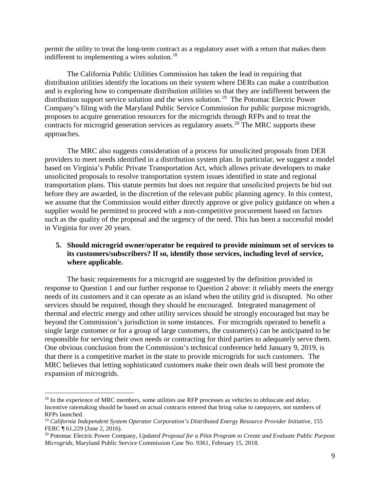permit the utility to treat the long-term contract as a regulatory asset with a return that makes them indifferent to implementing a wires solution.<sup>[18](#page-8-0)</sup>

The California Public Utilities Commission has taken the lead in requiring that distribution utilities identify the locations on their system where DERs can make a contribution and is exploring how to compensate distribution utilities so that they are indifferent between the distribution support service solution and the wires solution.[19](#page-8-1) The Potomac Electric Power Company's filing with the Maryland Public Service Commission for public purpose microgrids, proposes to acquire generation resources for the microgrids through RFPs and to treat the contracts for microgrid generation services as regulatory assets.<sup>[20](#page-8-2)</sup> The MRC supports these approaches.

The MRC also suggests consideration of a process for unsolicited proposals from DER providers to meet needs identified in a distribution system plan. In particular, we suggest a model based on Virginia's Public Private Transportation Act, which allows private developers to make unsolicited proposals to resolve transportation system issues identified in state and regional transportation plans. This statute permits but does not require that unsolicited projects be bid out before they are awarded, in the discretion of the relevant public planning agency. In this context, we assume that the Commission would either directly approve or give policy guidance on when a supplier would be permitted to proceed with a non-competitive procurement based on factors such as the quality of the proposal and the urgency of the need. This has been a successful model in Virginia for over 20 years.

# **5. Should microgrid owner/operator be required to provide minimum set of services to its customers/subscribers? If so, identify those services, including level of service, where applicable.**

The basic requirements for a microgrid are suggested by the definition provided in response to Question 1 and our further response to Question 2 above: it reliably meets the energy needs of its customers and it can operate as an island when the utility grid is disrupted. No other services should be required, though they should be encouraged. Integrated management of thermal and electric energy and other utility services should be strongly encouraged but may be beyond the Commission's jurisdiction in some instances. For microgrids operated to benefit a single large customer or for a group of large customers, the customer(s) can be anticipated to be responsible for serving their own needs or contracting for third parties to adequately serve them. One obvious conclusion from the Commission's technical conference held January 9, 2019, is that there is a competitive market in the state to provide microgrids for such customers. The MRC believes that letting sophisticated customers make their own deals will best promote the expansion of microgrids.

<span id="page-8-0"></span><sup>&</sup>lt;sup>18</sup> In the experience of MRC members, some utilities use RFP processes as vehicles to obfuscate and delay. Incentive ratemaking should be based on actual contracts entered that bring value to ratepayers, not numbers of RFPs launched.

<span id="page-8-1"></span><sup>19</sup> *California Independent System Operator Corporation's Distributed Energy Resource Provider Initiative*, 155 FERC ¶ 61,229 (June 2, 2016).

<span id="page-8-2"></span><sup>20</sup> Potomac Electric Power Company, *Updated Proposal for a Pilot Program to Create and Evaluate Public Purpose Microgrids*, Maryland Public Service Commission Case No. 9361, February 15, 2018.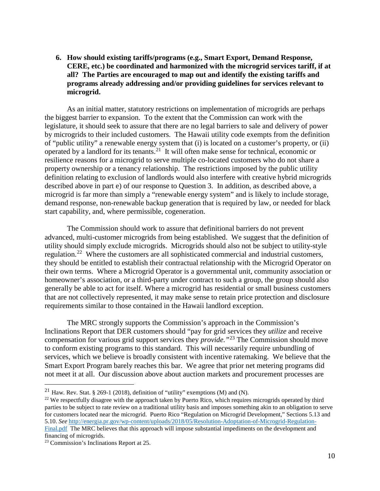**6. How should existing tariffs/programs (e.g., Smart Export, Demand Response, CERE, etc.) be coordinated and harmonized with the microgrid services tariff, if at all? The Parties are encouraged to map out and identify the existing tariffs and programs already addressing and/or providing guidelines for services relevant to microgrid.**

As an initial matter, statutory restrictions on implementation of microgrids are perhaps the biggest barrier to expansion. To the extent that the Commission can work with the legislature, it should seek to assure that there are no legal barriers to sale and delivery of power by microgrids to their included customers. The Hawaii utility code exempts from the definition of "public utility" a renewable energy system that (i) is located on a customer's property, or (ii) operated by a landlord for its tenants.<sup>21</sup> It will often make sense for technical, economic or resilience reasons for a microgrid to serve multiple co-located customers who do not share a property ownership or a tenancy relationship. The restrictions imposed by the public utility definition relating to exclusion of landlords would also interfere with creative hybrid microgrids described above in part e) of our response to Question 3. In addition, as described above, a microgrid is far more than simply a "renewable energy system" and is likely to include storage, demand response, non-renewable backup generation that is required by law, or needed for black start capability, and, where permissible, cogeneration.

The Commission should work to assure that definitional barriers do not prevent advanced, multi-customer microgrids from being established. We suggest that the definition of utility should simply exclude microgrids. Microgrids should also not be subject to utility-style regulation.[22](#page-9-1) Where the customers are all sophisticated commercial and industrial customers, they should be entitled to establish their contractual relationship with the Microgrid Operator on their own terms. Where a Microgrid Operator is a governmental unit, community association or homeowner's association, or a third-party under contract to such a group, the group should also generally be able to act for itself. Where a microgrid has residential or small business customers that are not collectively represented, it may make sense to retain price protection and disclosure requirements similar to those contained in the Hawaii landlord exception.

The MRC strongly supports the Commission's approach in the Commission's Inclinations Report that DER customers should "pay for grid services they *utilize* and receive compensation for various grid support services they *provide."*[23](#page-9-2) The Commission should move to conform existing programs to this standard. This will necessarily require unbundling of services, which we believe is broadly consistent with incentive ratemaking. We believe that the Smart Export Program barely reaches this bar. We agree that prior net metering programs did not meet it at all. Our discussion above about auction markets and procurement processes are

<span id="page-9-0"></span><sup>&</sup>lt;sup>21</sup> Haw. Rev. Stat. § 269-1 (2018), definition of "utility" exemptions (M) and (N).

<span id="page-9-1"></span><sup>&</sup>lt;sup>22</sup> We respectfully disagree with the approach taken by Puerto Rico, which requires microgrids operated by third parties to be subject to rate review on a traditional utility basis and imposes something akin to an obligation to serve for customers located near the microgrid. Puerto Rico "Regulation on Microgrid Development," Sections 5.13 and 5.10. *See* [http://energia.pr.gov/wp-content/uploads/2018/05/Resolution-Adoptation-of-Microgrid-Regulation-](http://energia.pr.gov/wp-content/uploads/2018/05/Resolution-Adoptation-of-Microgrid-Regulation-Final.pdf)[Final.pdf](http://energia.pr.gov/wp-content/uploads/2018/05/Resolution-Adoptation-of-Microgrid-Regulation-Final.pdf) The MRC believes that this approach will impose substantial impediments on the development and financing of microgrids.

<span id="page-9-2"></span><sup>23</sup> Commission's Inclinations Report at 25.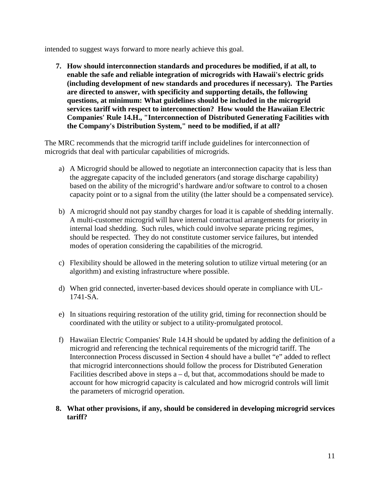intended to suggest ways forward to more nearly achieve this goal.

**7. How should interconnection standards and procedures be modified, if at all, to enable the safe and reliable integration of microgrids with Hawaii's electric grids (including development of new standards and procedures if necessary). The Parties are directed to answer, with specificity and supporting details, the following questions, at minimum: What guidelines should be included in the microgrid services tariff with respect to interconnection? How would the Hawaiian Electric Companies' Rule 14.H., "Interconnection of Distributed Generating Facilities with the Company's Distribution System," need to be modified, if at all?**

The MRC recommends that the microgrid tariff include guidelines for interconnection of microgrids that deal with particular capabilities of microgrids.

- a) A Microgrid should be allowed to negotiate an interconnection capacity that is less than the aggregate capacity of the included generators (and storage discharge capability) based on the ability of the microgrid's hardware and/or software to control to a chosen capacity point or to a signal from the utility (the latter should be a compensated service).
- b) A microgrid should not pay standby charges for load it is capable of shedding internally. A multi-customer microgrid will have internal contractual arrangements for priority in internal load shedding. Such rules, which could involve separate pricing regimes, should be respected. They do not constitute customer service failures, but intended modes of operation considering the capabilities of the microgrid.
- c) Flexibility should be allowed in the metering solution to utilize virtual metering (or an algorithm) and existing infrastructure where possible.
- d) When grid connected, inverter-based devices should operate in compliance with UL-1741-SA.
- e) In situations requiring restoration of the utility grid, timing for reconnection should be coordinated with the utility or subject to a utility-promulgated protocol.
- f) Hawaiian Electric Companies' Rule 14.H should be updated by adding the definition of a microgrid and referencing the technical requirements of the microgrid tariff. The Interconnection Process discussed in Section 4 should have a bullet "e" added to reflect that microgrid interconnections should follow the process for Distributed Generation Facilities described above in steps  $a - d$ , but that, accommodations should be made to account for how microgrid capacity is calculated and how microgrid controls will limit the parameters of microgrid operation.
- **8. What other provisions, if any, should be considered in developing microgrid services tariff?**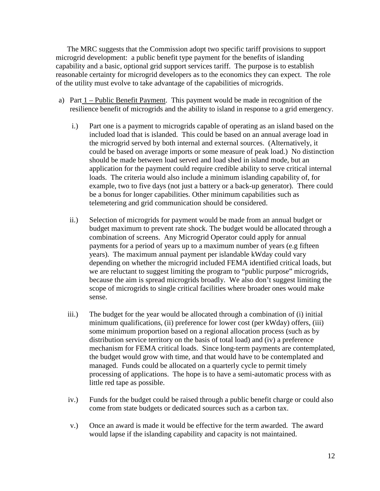The MRC suggests that the Commission adopt two specific tariff provisions to support microgrid development: a public benefit type payment for the benefits of islanding capability and a basic, optional grid support services tariff. The purpose is to establish reasonable certainty for microgrid developers as to the economics they can expect. The role of the utility must evolve to take advantage of the capabilities of microgrids.

- a) Part 1 Public Benefit Payment. This payment would be made in recognition of the resilience benefit of microgrids and the ability to island in response to a grid emergency.
	- i.) Part one is a payment to microgrids capable of operating as an island based on the included load that is islanded. This could be based on an annual average load in the microgrid served by both internal and external sources. (Alternatively, it could be based on average imports or some measure of peak load.) No distinction should be made between load served and load shed in island mode, but an application for the payment could require credible ability to serve critical internal loads. The criteria would also include a minimum islanding capability of, for example, two to five days (not just a battery or a back-up generator). There could be a bonus for longer capabilities. Other minimum capabilities such as telemetering and grid communication should be considered.
	- ii.) Selection of microgrids for payment would be made from an annual budget or budget maximum to prevent rate shock. The budget would be allocated through a combination of screens. Any Microgrid Operator could apply for annual payments for a period of years up to a maximum number of years (e.g fifteen years). The maximum annual payment per islandable kWday could vary depending on whether the microgrid included FEMA identified critical loads, but we are reluctant to suggest limiting the program to "public purpose" microgrids, because the aim is spread microgrids broadly. We also don't suggest limiting the scope of microgrids to single critical facilities where broader ones would make sense.
	- iii.) The budget for the year would be allocated through a combination of (i) initial minimum qualifications, (ii) preference for lower cost (per kWday) offers, (iii) some minimum proportion based on a regional allocation process (such as by distribution service territory on the basis of total load) and (iv) a preference mechanism for FEMA critical loads. Since long-term payments are contemplated, the budget would grow with time, and that would have to be contemplated and managed. Funds could be allocated on a quarterly cycle to permit timely processing of applications. The hope is to have a semi-automatic process with as little red tape as possible.
	- iv.) Funds for the budget could be raised through a public benefit charge or could also come from state budgets or dedicated sources such as a carbon tax.
	- v.) Once an award is made it would be effective for the term awarded. The award would lapse if the islanding capability and capacity is not maintained.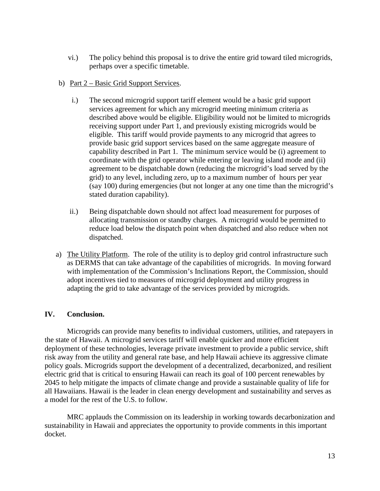- vi.) The policy behind this proposal is to drive the entire grid toward tiled microgrids, perhaps over a specific timetable.
- b) Part 2 Basic Grid Support Services.
	- i.) The second microgrid support tariff element would be a basic grid support services agreement for which any microgrid meeting minimum criteria as described above would be eligible. Eligibility would not be limited to microgrids receiving support under Part 1, and previously existing microgrids would be eligible. This tariff would provide payments to any microgrid that agrees to provide basic grid support services based on the same aggregate measure of capability described in Part 1. The minimum service would be (i) agreement to coordinate with the grid operator while entering or leaving island mode and (ii) agreement to be dispatchable down (reducing the microgrid's load served by the grid) to any level, including zero, up to a maximum number of hours per year (say 100) during emergencies (but not longer at any one time than the microgrid's stated duration capability).
	- ii.) Being dispatchable down should not affect load measurement for purposes of allocating transmission or standby charges. A microgrid would be permitted to reduce load below the dispatch point when dispatched and also reduce when not dispatched.
- a) The Utility Platform. The role of the utility is to deploy grid control infrastructure such as DERMS that can take advantage of the capabilities of microgrids. In moving forward with implementation of the Commission's Inclinations Report, the Commission, should adopt incentives tied to measures of microgrid deployment and utility progress in adapting the grid to take advantage of the services provided by microgrids.

# **IV. Conclusion.**

Microgrids can provide many benefits to individual customers, utilities, and ratepayers in the state of Hawaii. A microgrid services tariff will enable quicker and more efficient deployment of these technologies, leverage private investment to provide a public service, shift risk away from the utility and general rate base, and help Hawaii achieve its aggressive climate policy goals. Microgrids support the development of a decentralized, decarbonized, and resilient electric grid that is critical to ensuring Hawaii can reach its goal of 100 percent renewables by 2045 to help mitigate the impacts of climate change and provide a sustainable quality of life for all Hawaiians. Hawaii is the leader in clean energy development and sustainability and serves as a model for the rest of the U.S. to follow.

MRC applauds the Commission on its leadership in working towards decarbonization and sustainability in Hawaii and appreciates the opportunity to provide comments in this important docket.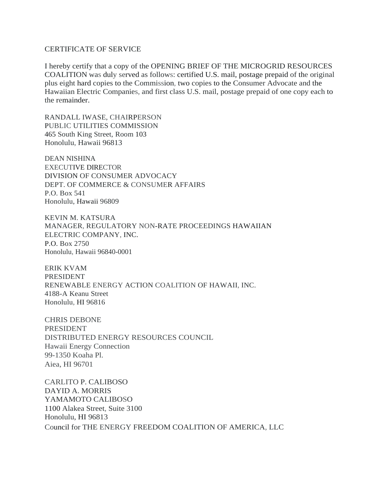#### CERTIFICATE OF SERVICE

I hereby certify that a copy of the OPENING BRIEF OF THE MICROGRID RESOURCES COALITION was duly served as follows: certified U.S. mail, postage prepaid of the original plus eight hard copies to the Commission, two copies to the Consumer Advocate and the Hawaiian Electric Companies, and first class U.S. mail, postage prepaid of one copy each to the remainder.

RANDALL IWASE, CHAIRPERSON PUBLIC UTILITIES COMMISSION 465 South King Street, Room 103 Honolulu, Hawaii 96813

DEAN NISHINA EXECUTIVE DIRECTOR DIVISION OF CONSUMER ADVOCACY DEPT. OF COMMERCE & CONSUMER AFFAIRS P.O. Box 541 Honolulu, Hawaii 96809

KEVIN M. KATSURA MANAGER, REGULATORY NON-RATE PROCEEDINGS HAWAIIAN ELECTRIC COMPANY, INC. P.O. Box 2750 Honolulu, Hawaii 96840-0001

ERIK KVAM PRESIDENT RENEWABLE ENERGY ACTION COALITION OF HAWAII, INC. 4188-A Keanu Street Honolulu, HI 96816

CHRIS DEBONE PRESIDENT DISTRIBUTED ENERGY RESOURCES COUNCIL Hawaii Energy Connection 99-1350 Koaha Pl. Aiea, HI 96701

CARLITO P. CALIBOSO DAYID A. MORRIS YAMAMOTO CALIBOSO 1100 Alakea Street, Suite 3100 Honolulu, HI 96813 Council for THE ENERGY FREEDOM COALITION OF AMERICA, LLC